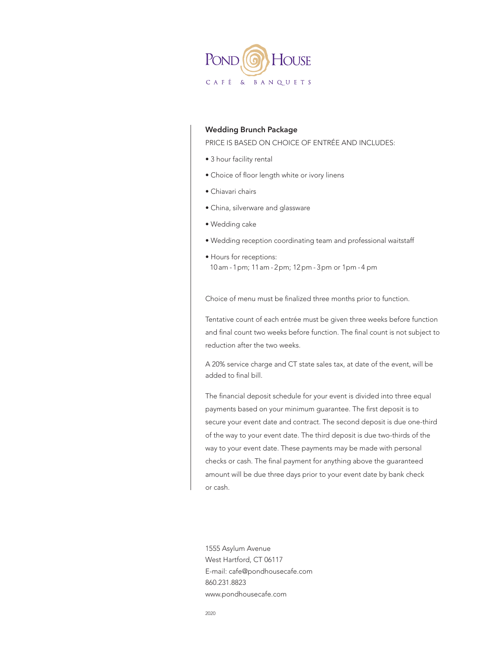

### **Wedding Brunch Package**

PRICE IS BASED ON CHOICE OF ENTRÉE AND INCLUDES:

- 3 hour facility rental
- Choice of floor length white or ivory linens
- Chiavari chairs
- China, silverware and glassware
- Wedding cake
- Wedding reception coordinating team and professional waitstaff
- Hours for receptions: 10 am - 1 pm; 11 am - 2 pm; 12 pm - 3 pm or 1 pm - 4 pm

Choice of menu must be finalized three months prior to function.

Tentative count of each entrée must be given three weeks before function and final count two weeks before function. The final count is not subject to reduction after the two weeks.

A 20% service charge and CT state sales tax, at date of the event, will be added to final bill.

The financial deposit schedule for your event is divided into three equal payments based on your minimum guarantee. The first deposit is to secure your event date and contract. The second deposit is due one-third of the way to your event date. The third deposit is due two-thirds of the way to your event date. These payments may be made with personal checks or cash. The final payment for anything above the guaranteed amount will be due three days prior to your event date by bank check or cash.

1555 Asylum Avenue West Hartford, CT 06117 E-mail: cafe@pondhousecafe.com 860.231.8823 www.pondhousecafe.com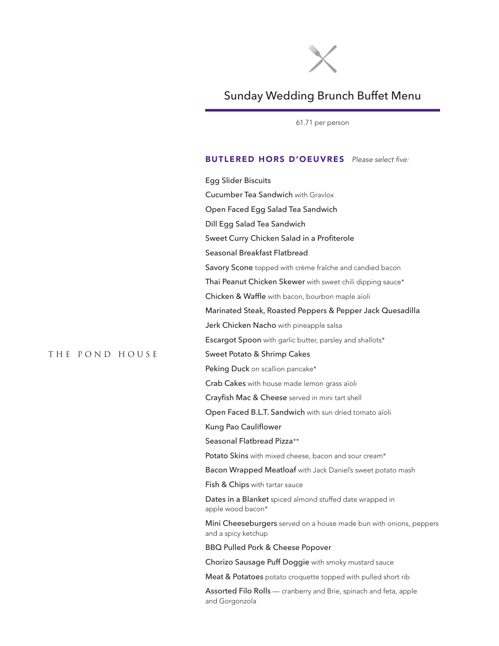

# Sunday Wedding Brunch Buffet Menu

61.71 per person

### BUTLERED HORS D'OEUVRES Please select five:

Egg Slider Biscuits Cucumber Tea Sandwich with Gravlox Open Faced Egg Salad Tea Sandwich Dill Egg Salad Tea Sandwich Sweet Curry Chicken Salad in a Profiterole Seasonal Breakfast Flatbread Savory Scone topped with crème fraîche and candied bacon Thai Peanut Chicken Skewer with sweet chili dipping sauce\* Chicken & Waffle with bacon, bourbon maple aïoli Marinated Steak, Roasted Peppers & Pepper Jack Quesadilla Jerk Chicken Nacho with pineapple salsa Escargot Spoon with garlic butter, parsley and shallots\* Sweet Potato & Shrimp Cakes Peking Duck on scallion pancake\* Crab Cakes with house made lemon grass aïoli Crayfish Mac & Cheese served in mini tart shell Open Faced B.L.T. Sandwich with sun dried tomato aïoli Kung Pao Cauliflower Seasonal Flatbread Pizza\*\* Potato Skins with mixed cheese, bacon and sour cream\* Bacon Wrapped Meatloaf with Jack Daniel's sweet potato mash Fish & Chips with tartar sauce Dates in a Blanket spiced almond stuffed date wrapped in apple wood bacon\* Mini Cheeseburgers served on a house made bun with onions, peppers and a spicy ketchup BBQ Pulled Pork & Cheese Popover Chorizo Sausage Puff Doggie with smoky mustard sauce Meat & Potatoes potato croquette topped with pulled short rib Assorted Filo Rolls — cranberry and Brie, spinach and feta, apple and Gorgonzola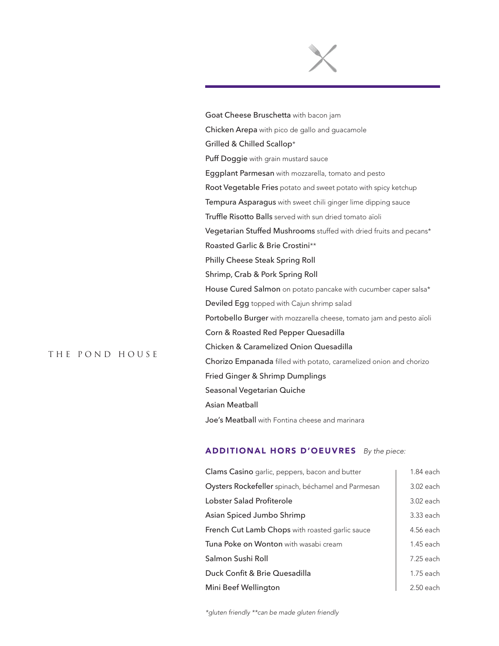Goat Cheese Bruschetta with bacon jam Chicken Arepa with pico de gallo and guacamole Grilled & Chilled Scallop\* Puff Doggie with grain mustard sauce Eggplant Parmesan with mozzarella, tomato and pesto Root Vegetable Fries potato and sweet potato with spicy ketchup Tempura Asparagus with sweet chili ginger lime dipping sauce Truffle Risotto Balls served with sun dried tomato aïoli Vegetarian Stuffed Mushrooms stuffed with dried fruits and pecans\* Roasted Garlic & Brie Crostini\*\* Philly Cheese Steak Spring Roll Shrimp, Crab & Pork Spring Roll House Cured Salmon on potato pancake with cucumber caper salsa\* Deviled Egg topped with Cajun shrimp salad Portobello Burger with mozzarella cheese, tomato jam and pesto aïoli Corn & Roasted Red Pepper Quesadilla Chicken & Caramelized Onion Quesadilla Chorizo Empanada filled with potato, caramelized onion and chorizo Fried Ginger & Shrimp Dumplings Seasonal Vegetarian Quiche Asian Meatball Joe's Meatball with Fontina cheese and marinara

### ADDITIONAL HORS D'OEUVRES By the piece:

| Clams Casino garlic, peppers, bacon and butter         | 1.84 each   |
|--------------------------------------------------------|-------------|
| Oysters Rockefeller spinach, béchamel and Parmesan     | 3.02 each   |
| Lobster Salad Profiterole                              | $3.02$ each |
| Asian Spiced Jumbo Shrimp                              | 3.33 each   |
| <b>French Cut Lamb Chops</b> with roasted garlic sauce | 4.56 each   |
| <b>Tuna Poke on Wonton</b> with wasabi cream           | 1.45 each   |
| Salmon Sushi Roll                                      | 7.25 each   |
| Duck Confit & Brie Quesadilla                          | $1.75$ each |
| Mini Beef Wellington                                   | $2.50$ each |

*\*gluten friendly \*\*can be made gluten friendly*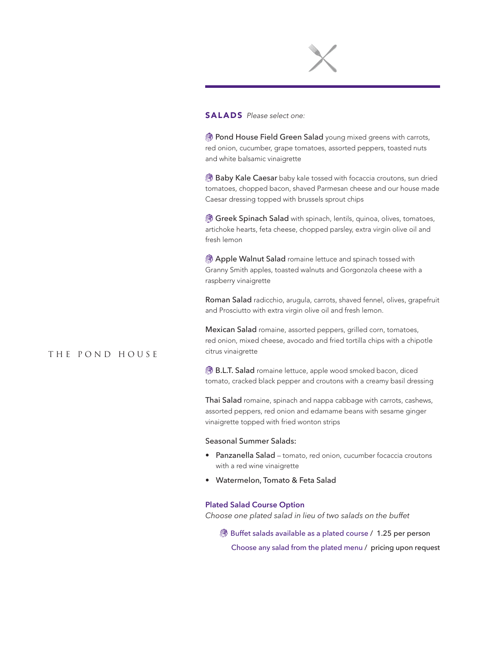

#### SALADS Please select one:

**B** Pond House Field Green Salad young mixed greens with carrots, red onion, cucumber, grape tomatoes, assorted peppers, toasted nuts and white balsamic vinaigrette

**Baby Kale Caesar** baby kale tossed with focaccia croutons, sun dried tomatoes, chopped bacon, shaved Parmesan cheese and our house made Caesar dressing topped with brussels sprout chips

**Greek Spinach Salad** with spinach, lentils, quinoa, olives, tomatoes, artichoke hearts, feta cheese, chopped parsley, extra virgin olive oil and fresh lemon

**Apple Walnut Salad** romaine lettuce and spinach tossed with Granny Smith apples, toasted walnuts and Gorgonzola cheese with a raspberry vinaigrette

Roman Salad radicchio, arugula, carrots, shaved fennel, olives, grapefruit and Prosciutto with extra virgin olive oil and fresh lemon.

Mexican Salad romaine, assorted peppers, grilled corn, tomatoes, red onion, mixed cheese, avocado and fried tortilla chips with a chipotle citrus vinaigrette

**B.L.T. Salad** romaine lettuce, apple wood smoked bacon, diced tomato, cracked black pepper and croutons with a creamy basil dressing

Thai Salad romaine, spinach and nappa cabbage with carrots, cashews, assorted peppers, red onion and edamame beans with sesame ginger vinaigrette topped with fried wonton strips

#### Seasonal Summer Salads:

- Panzanella Salad tomato, red onion, cucumber focaccia croutons with a red wine vinaigrette
- Watermelon, Tomato & Feta Salad

#### **Plated Salad Course Option**

*Choose one plated salad in lieu of two salads on the buffet*

**Buffet salads available as a plated course / 1.25 per person** Choose any salad from the plated menu / pricing upon request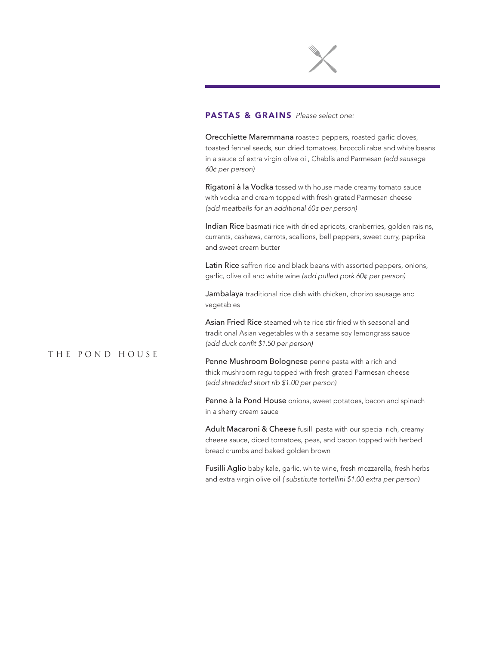

### PASTAS & GRAINS Please select one:

Orecchiette Maremmana roasted peppers, roasted garlic cloves, toasted fennel seeds, sun dried tomatoes, broccoli rabe and white beans in a sauce of extra virgin olive oil, Chablis and Parmesan *(add sausage 60¢ per person)*

Rigatoni à la Vodka tossed with house made creamy tomato sauce with vodka and cream topped with fresh grated Parmesan cheese *(add meatballs for an additional 60¢ per person)*

Indian Rice basmati rice with dried apricots, cranberries, golden raisins, currants, cashews, carrots, scallions, bell peppers, sweet curry, paprika and sweet cream butter

Latin Rice saffron rice and black beans with assorted peppers, onions, garlic, olive oil and white wine *(add pulled pork 60¢ per person)*

Jambalaya traditional rice dish with chicken, chorizo sausage and vegetables

Asian Fried Rice steamed white rice stir fried with seasonal and traditional Asian vegetables with a sesame soy lemongrass sauce (add duck confit \$1.50 per person)

# The Pond House

Penne Mushroom Bolognese penne pasta with a rich and thick mushroom ragu topped with fresh grated Parmesan cheese (add shredded short rib \$1.00 per person)

Penne à la Pond House onions, sweet potatoes, bacon and spinach in a sherry cream sauce

Adult Macaroni & Cheese fusilli pasta with our special rich, creamy cheese sauce, diced tomatoes, peas, and bacon topped with herbed bread crumbs and baked golden brown

Fusilli Aglio baby kale, garlic, white wine, fresh mozzarella, fresh herbs and extra virgin olive oil ( substitute tortellini \$1.00 extra per person)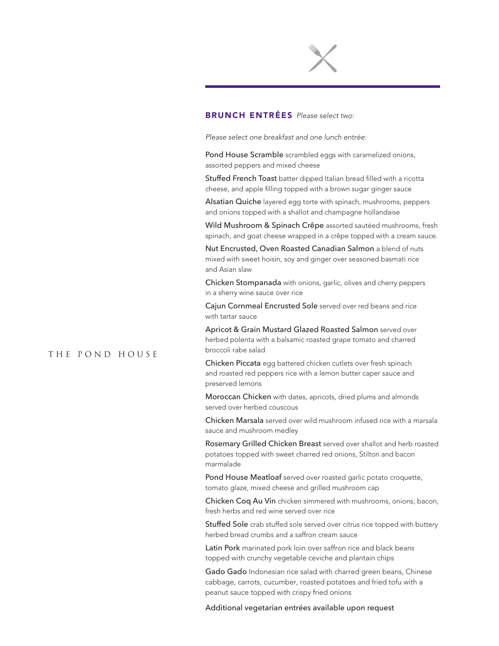

# BRUNCH ENTRÉES Please select two:

Please select one breakfast and one lunch entrée:

Pond House Scramble scrambled eggs with caramelized onions, assorted peppers and mixed cheese

Stuffed French Toast batter dipped Italian bread filled with a ricotta cheese, and apple filling topped with a brown sugar ginger sauce

Alsatian Quiche layered egg torte with spinach, mushrooms, peppers and onions topped with a shallot and champagne hollandaise

Wild Mushroom & Spinach Crêpe assorted sautéed mushrooms, fresh spinach, and goat cheese wrapped in a crêpe topped with a cream sauce.

Nut Encrusted, Oven Roasted Canadian Salmon a blend of nuts mixed with sweet hoisin, soy and ginger over seasoned basmati rice and Asian slaw

Chicken Stompanada with onions, garlic, olives and cherry peppers in a sherry wine sauce over rice

Cajun Cornmeal Encrusted Sole served over red beans and rice with tartar sauce

Apricot & Grain Mustard Glazed Roasted Salmon served over herbed polenta with a balsamic roasted grape tomato and charred broccoli rabe salad

Chicken Piccata egg battered chicken cutlets over fresh spinach and roasted red peppers rice with a lemon butter caper sauce and preserved lemons

Moroccan Chicken with dates, apricots, dried plums and almonds served over herbed couscous

Chicken Marsala served over wild mushroom infused rice with a marsala sauce and mushroom medley

Rosemary Grilled Chicken Breast served over shallot and herb roasted potatoes topped with sweet charred red onions, Stilton and bacon marmalade

Pond House Meatloaf served over roasted garlic potato croquette, tomato glaze, mixed cheese and grilled mushroom cap

Chicken Coq Au Vin chicken simmered with mushrooms, onions, bacon, fresh herbs and red wine served over rice

Stuffed Sole crab stuffed sole served over citrus rice topped with buttery herbed bread crumbs and a saffron cream sauce

Latin Pork marinated pork loin over saffron rice and black beans topped with crunchy vegetable ceviche and plantain chips

Gado Gado Indonesian rice salad with charred green beans, Chinese cabbage, carrots, cucumber, roasted potatoes and fried tofu with a peanut sauce topped with crispy fried onions

Additional vegetarian entrées available upon request